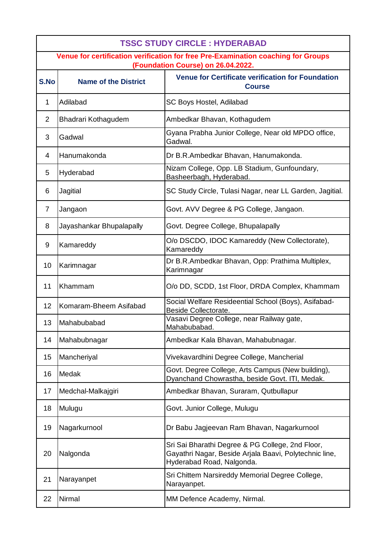| <b>TSSC STUDY CIRCLE : HYDERABAD</b>                                                                                    |                             |                                                                                                                                         |  |
|-------------------------------------------------------------------------------------------------------------------------|-----------------------------|-----------------------------------------------------------------------------------------------------------------------------------------|--|
| Venue for certification verification for free Pre-Examination coaching for Groups<br>(Foundation Course) on 26.04.2022. |                             |                                                                                                                                         |  |
| S.No                                                                                                                    | <b>Name of the District</b> | <b>Venue for Certificate verification for Foundation</b><br><b>Course</b>                                                               |  |
| $\mathbf{1}$                                                                                                            | Adilabad                    | SC Boys Hostel, Adilabad                                                                                                                |  |
| 2                                                                                                                       | Bhadrari Kothagudem         | Ambedkar Bhavan, Kothagudem                                                                                                             |  |
| 3                                                                                                                       | Gadwal                      | Gyana Prabha Junior College, Near old MPDO office,<br>Gadwal.                                                                           |  |
| 4                                                                                                                       | Hanumakonda                 | Dr B.R.Ambedkar Bhavan, Hanumakonda.                                                                                                    |  |
| 5                                                                                                                       | Hyderabad                   | Nizam College, Opp. LB Stadium, Gunfoundary,<br>Basheerbagh, Hyderabad.                                                                 |  |
| 6                                                                                                                       | Jagitial                    | SC Study Circle, Tulasi Nagar, near LL Garden, Jagitial.                                                                                |  |
| $\overline{7}$                                                                                                          | Jangaon                     | Govt. AVV Degree & PG College, Jangaon.                                                                                                 |  |
| 8                                                                                                                       | Jayashankar Bhupalapally    | Govt. Degree College, Bhupalapally                                                                                                      |  |
| 9                                                                                                                       | Kamareddy                   | O/o DSCDO, IDOC Kamareddy (New Collectorate),<br>Kamareddy                                                                              |  |
| 10                                                                                                                      | Karimnagar                  | Dr B.R.Ambedkar Bhavan, Opp: Prathima Multiplex,<br>Karimnagar                                                                          |  |
| 11                                                                                                                      | Khammam                     | O/o DD, SCDD, 1st Floor, DRDA Complex, Khammam                                                                                          |  |
| 12                                                                                                                      | Komaram-Bheem Asifabad      | Social Welfare Resideential School (Boys), Asifabad-<br>Beside Collectorate.                                                            |  |
| 13                                                                                                                      | Mahabubabad                 | Vasavi Degree College, near Railway gate,<br>Mahabubabad.                                                                               |  |
| 14                                                                                                                      | Mahabubnagar                | Ambedkar Kala Bhavan, Mahabubnagar.                                                                                                     |  |
| 15                                                                                                                      | Mancheriyal                 | Vivekavardhini Degree College, Mancherial                                                                                               |  |
| 16                                                                                                                      | Medak                       | Govt. Degree College, Arts Campus (New building),<br>Dyanchand Chowrastha, beside Govt. ITI, Medak.                                     |  |
| 17                                                                                                                      | Medchal-Malkajgiri          | Ambedkar Bhavan, Suraram, Qutbullapur                                                                                                   |  |
| 18                                                                                                                      | Mulugu                      | Govt. Junior College, Mulugu                                                                                                            |  |
| 19                                                                                                                      | Nagarkurnool                | Dr Babu Jagjeevan Ram Bhavan, Nagarkurnool                                                                                              |  |
| 20                                                                                                                      | Nalgonda                    | Sri Sai Bharathi Degree & PG College, 2nd Floor,<br>Gayathri Nagar, Beside Arjala Baavi, Polytechnic line,<br>Hyderabad Road, Nalgonda. |  |
| 21                                                                                                                      | Narayanpet                  | Sri Chittem Narsireddy Memorial Degree College,<br>Narayanpet.                                                                          |  |
| 22                                                                                                                      | Nirmal                      | MM Defence Academy, Nirmal.                                                                                                             |  |